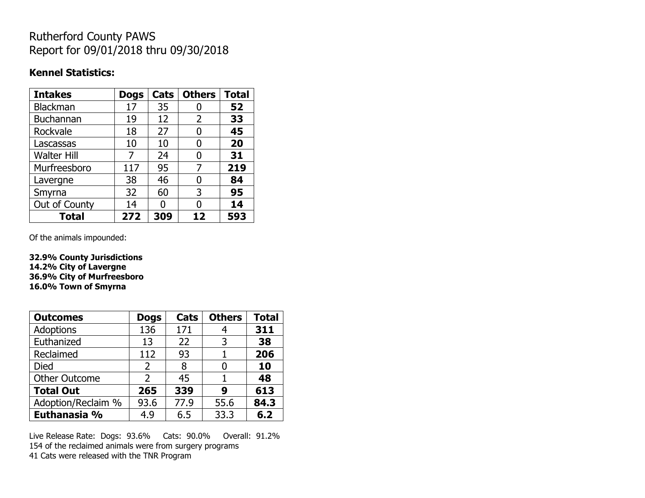## Rutherford County PAWS Report for 09/01/2018 thru 09/30/2018

### **Kennel Statistics:**

| <b>Intakes</b>     | <b>Dogs</b> | Cats | <b>Others</b>  | <b>Total</b> |
|--------------------|-------------|------|----------------|--------------|
| Blackman           | 17          | 35   |                | 52           |
| <b>Buchannan</b>   | 19          | 12   | $\overline{2}$ | 33           |
| Rockvale           | 18          | 27   | 0              | 45           |
| Lascassas          | 10          | 10   | 0              | 20           |
| <b>Walter Hill</b> | 7           | 24   | 0              | 31           |
| Murfreesboro       | 117         | 95   | 7              | 219          |
| Lavergne           | 38          | 46   | O              | 84           |
| Smyrna             | 32          | 60   | 3              | 95           |
| Out of County      | 14          | U    | U              | 14           |
| <b>Total</b>       | 272         | 309  | 12             | 593          |

Of the animals impounded:

**32.9% County Jurisdictions 14.2% City of Lavergne 36.9% City of Murfreesboro 16.0% Town of Smyrna**

| <b>Outcomes</b>      | <b>Dogs</b>    | Cats | <b>Others</b> | <b>Total</b> |
|----------------------|----------------|------|---------------|--------------|
| <b>Adoptions</b>     | 136            | 171  |               | 311          |
| Euthanized           | 13             | 22   | 3             | 38           |
| Reclaimed            | 112            | 93   |               | 206          |
| Died                 | $\overline{2}$ | 8    |               | 10           |
| <b>Other Outcome</b> | 2              | 45   |               | 48           |
| <b>Total Out</b>     | 265            | 339  | 9             | 613          |
| Adoption/Reclaim %   | 93.6           | 77.9 | 55.6          | 84.3         |
| Euthanasia %         | 4.9            | 6.5  | 33.3          | 6.2          |

Live Release Rate: Dogs: 93.6% Cats: 90.0% Overall: 91.2% 154 of the reclaimed animals were from surgery programs 41 Cats were released with the TNR Program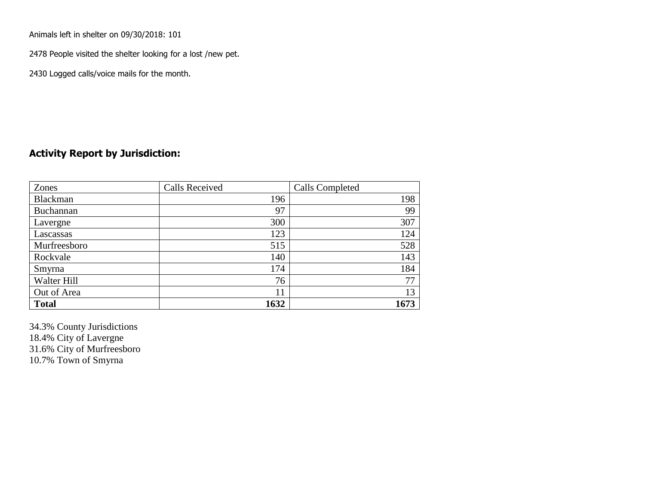Animals left in shelter on 09/30/2018: 101

2478 People visited the shelter looking for a lost /new pet.

2430 Logged calls/voice mails for the month.

### **Activity Report by Jurisdiction:**

| Zones           | <b>Calls Received</b> | Calls Completed |
|-----------------|-----------------------|-----------------|
| <b>Blackman</b> | 196                   | 198             |
| Buchannan       | 97                    | 99              |
| Lavergne        | 300                   | 307             |
| Lascassas       | 123                   | 124             |
| Murfreesboro    | 515                   | 528             |
| Rockvale        | 140                   | 143             |
| Smyrna          | 174                   | 184             |
| Walter Hill     | 76                    | 77              |
| Out of Area     | 11                    | 13              |
| <b>Total</b>    | 1632                  | 1673            |

34.3% County Jurisdictions 18.4% City of Lavergne 31.6% City of Murfreesboro 10.7% Town of Smyrna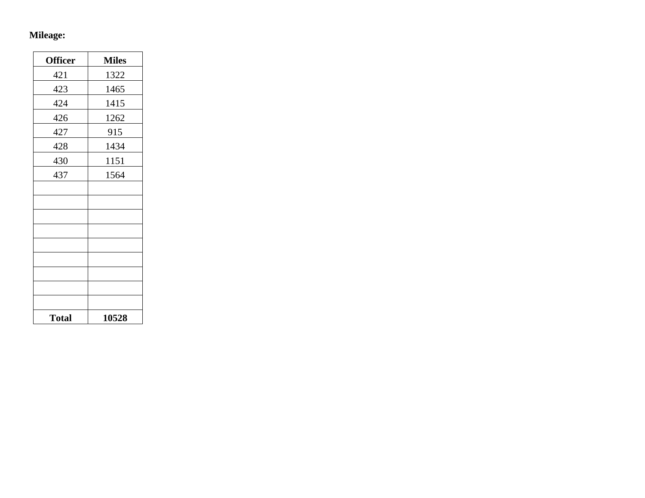## **Mileage:**

| <b>Officer</b> | <b>Miles</b> |
|----------------|--------------|
| 421            | 1322         |
| 423            | 1465         |
| 424            | 1415         |
| 426            | 1262         |
| 427            | 915          |
| 428            | 1434         |
| 430            | 1151         |
| 437            | 1564         |
|                |              |
|                |              |
|                |              |
|                |              |
|                |              |
|                |              |
|                |              |
|                |              |
|                |              |
| <b>Total</b>   | 10528        |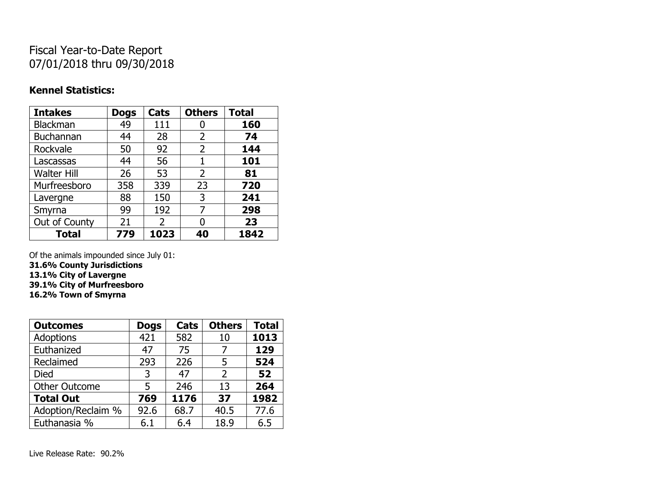# Fiscal Year-to-Date Report 07/01/2018 thru 09/30/2018

### **Kennel Statistics:**

| <b>Intakes</b>     | <b>Dogs</b> | Cats | <b>Others</b> | <b>Total</b> |
|--------------------|-------------|------|---------------|--------------|
| Blackman           | 49          | 111  | 0             | 160          |
| <b>Buchannan</b>   | 44          | 28   | 2             | 74           |
| Rockvale           | 50          | 92   | 2             | 144          |
| Lascassas          | 44          | 56   | 1             | 101          |
| <b>Walter Hill</b> | 26          | 53   | 2             | 81           |
| Murfreesboro       | 358         | 339  | 23            | 720          |
| Lavergne           | 88          | 150  | 3             | 241          |
| Smyrna             | 99          | 192  | 7             | 298          |
| Out of County      | 21          | 2    | 0             | 23           |
| <b>Total</b>       | 779         | 1023 | 40            | 1842         |

Of the animals impounded since July 01:

**31.6% County Jurisdictions**

**13.1% City of Lavergne**

**39.1% City of Murfreesboro**

**16.2% Town of Smyrna**

| <b>Outcomes</b>      | <b>Dogs</b> | Cats | <b>Others</b>  | <b>Total</b> |
|----------------------|-------------|------|----------------|--------------|
| <b>Adoptions</b>     | 421         | 582  | 10             | 1013         |
| Euthanized           | 47          | 75   |                | 129          |
| Reclaimed            | 293         | 226  | 5              | 524          |
| <b>Died</b>          | 3           | 47   | $\overline{2}$ | 52           |
| <b>Other Outcome</b> | 5           | 246  | 13             | 264          |
| <b>Total Out</b>     | 769         | 1176 | 37             | 1982         |
| Adoption/Reclaim %   | 92.6        | 68.7 | 40.5           | 77.6         |
| Euthanasia %         | 6.1         | 6.4  | 18.9           | 6.5          |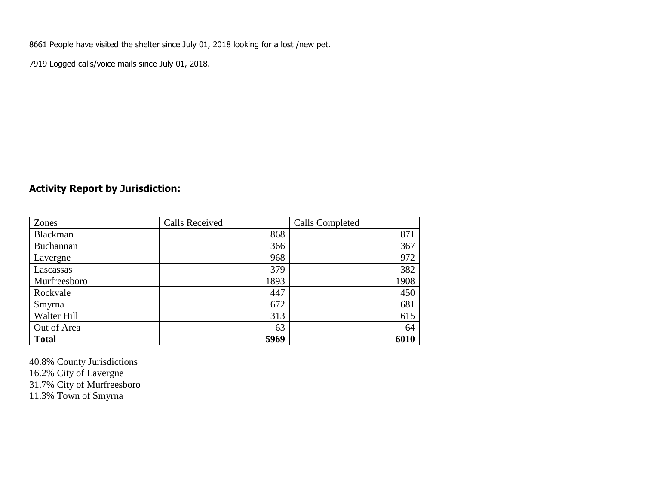8661 People have visited the shelter since July 01, 2018 looking for a lost /new pet.

7919 Logged calls/voice mails since July 01, 2018.

## **Activity Report by Jurisdiction:**

| Zones        | <b>Calls Received</b> | Calls Completed |
|--------------|-----------------------|-----------------|
| Blackman     | 868                   | 871             |
| Buchannan    | 366                   | 367             |
| Lavergne     | 968                   | 972             |
| Lascassas    | 379                   | 382             |
| Murfreesboro | 1893                  | 1908            |
| Rockvale     | 447                   | 450             |
| Smyrna       | 672                   | 681             |
| Walter Hill  | 313                   | 615             |
| Out of Area  | 63                    | 64              |
| <b>Total</b> | 5969                  | 6010            |

40.8% County Jurisdictions 16.2% City of Lavergne 31.7% City of Murfreesboro 11.3% Town of Smyrna